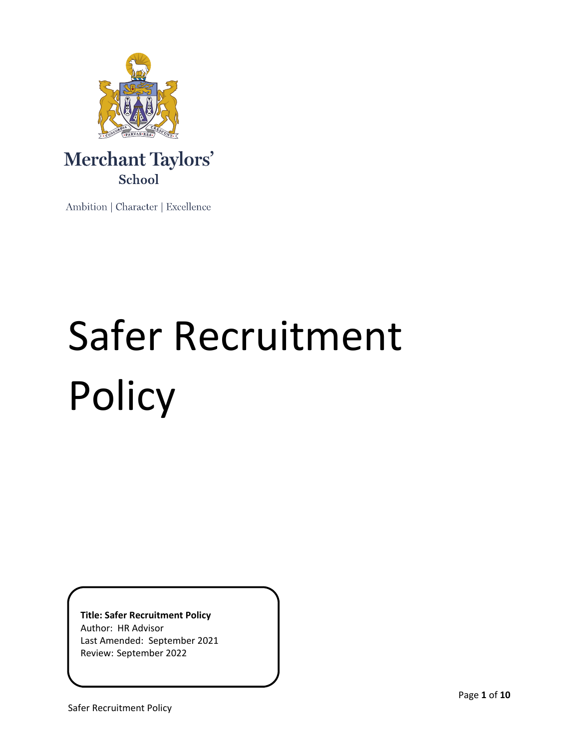

# Merchant Taylors' School

Ambition | Character | Excellence

# Safer Recruitment Policy

**Title: Safer Recruitment Policy** Author: HR Advisor Last Amended: September 2021 Review: September 2022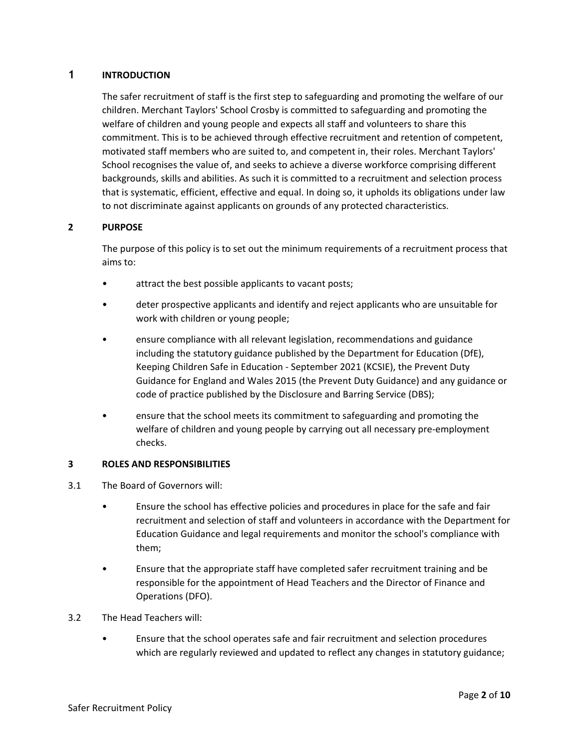# **1 INTRODUCTION**

The safer recruitment of staff is the first step to safeguarding and promoting the welfare of our children. Merchant Taylors' School Crosby is committed to safeguarding and promoting the welfare of children and young people and expects all staff and volunteers to share this commitment. This is to be achieved through effective recruitment and retention of competent, motivated staff members who are suited to, and competent in, their roles. Merchant Taylors' School recognises the value of, and seeks to achieve a diverse workforce comprising different backgrounds, skills and abilities. As such it is committed to a recruitment and selection process that is systematic, efficient, effective and equal. In doing so, it upholds its obligations under law to not discriminate against applicants on grounds of any protected characteristics.

# **2 PURPOSE**

The purpose of this policy is to set out the minimum requirements of a recruitment process that aims to:

- attract the best possible applicants to vacant posts;
- deter prospective applicants and identify and reject applicants who are unsuitable for work with children or young people;
- ensure compliance with all relevant legislation, recommendations and guidance including the statutory guidance published by the Department for Education (DfE), Keeping Children Safe in Education - September 2021 (KCSIE), the Prevent Duty Guidance for England and Wales 2015 (the Prevent Duty Guidance) and any guidance or code of practice published by the Disclosure and Barring Service (DBS);
- ensure that the school meets its commitment to safeguarding and promoting the welfare of children and young people by carrying out all necessary pre-employment checks.

# **3 ROLES AND RESPONSIBILITIES**

- 3.1 The Board of Governors will:
	- Ensure the school has effective policies and procedures in place for the safe and fair recruitment and selection of staff and volunteers in accordance with the Department for Education Guidance and legal requirements and monitor the school's compliance with them;
	- Ensure that the appropriate staff have completed safer recruitment training and be responsible for the appointment of Head Teachers and the Director of Finance and Operations (DFO).
- 3.2 The Head Teachers will:
	- Ensure that the school operates safe and fair recruitment and selection procedures which are regularly reviewed and updated to reflect any changes in statutory guidance;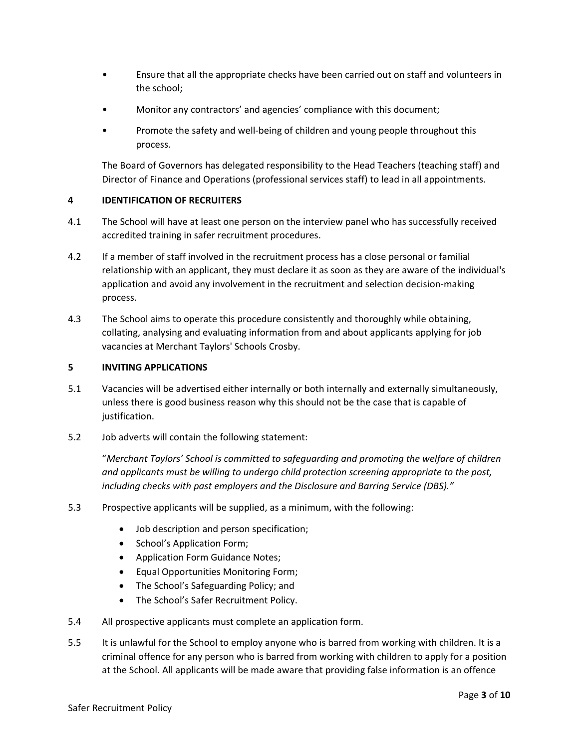- Ensure that all the appropriate checks have been carried out on staff and volunteers in the school;
- Monitor any contractors' and agencies' compliance with this document;
- Promote the safety and well-being of children and young people throughout this process.

The Board of Governors has delegated responsibility to the Head Teachers (teaching staff) and Director of Finance and Operations (professional services staff) to lead in all appointments.

# **4 IDENTIFICATION OF RECRUITERS**

- 4.1 The School will have at least one person on the interview panel who has successfully received accredited training in safer recruitment procedures.
- 4.2 If a member of staff involved in the recruitment process has a close personal or familial relationship with an applicant, they must declare it as soon as they are aware of the individual's application and avoid any involvement in the recruitment and selection decision-making process.
- 4.3 The School aims to operate this procedure consistently and thoroughly while obtaining, collating, analysing and evaluating information from and about applicants applying for job vacancies at Merchant Taylors' Schools Crosby.

#### **5 INVITING APPLICATIONS**

- 5.1 Vacancies will be advertised either internally or both internally and externally simultaneously, unless there is good business reason why this should not be the case that is capable of justification.
- 5.2 Job adverts will contain the following statement:

"*Merchant Taylors' School is committed to safeguarding and promoting the welfare of children and applicants must be willing to undergo child protection screening appropriate to the post, including checks with past employers and the Disclosure and Barring Service (DBS)."*

- 5.3 Prospective applicants will be supplied, as a minimum, with the following:
	- Job description and person specification;
	- School's Application Form;
	- Application Form Guidance Notes;
	- Equal Opportunities Monitoring Form;
	- The School's Safeguarding Policy; and
	- The School's Safer Recruitment Policy.
- 5.4 All prospective applicants must complete an application form.
- 5.5 It is unlawful for the School to employ anyone who is barred from working with children. It is a criminal offence for any person who is barred from working with children to apply for a position at the School. All applicants will be made aware that providing false information is an offence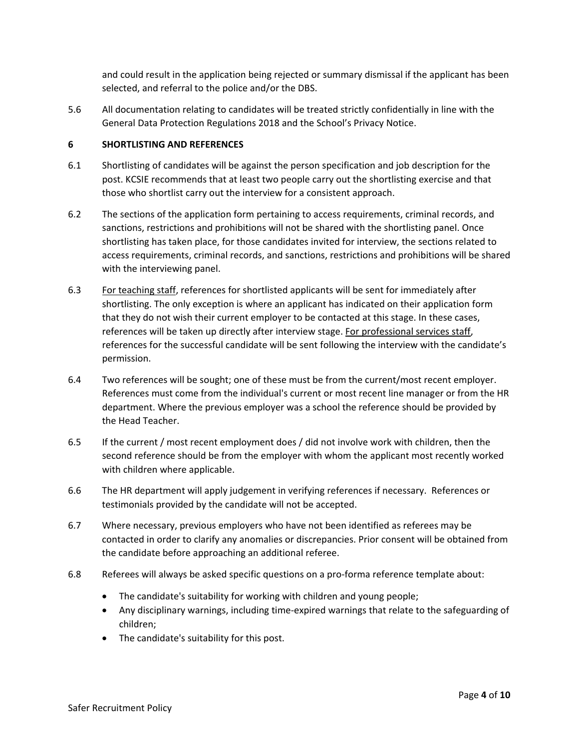and could result in the application being rejected or summary dismissal if the applicant has been selected, and referral to the police and/or the DBS.

5.6 All documentation relating to candidates will be treated strictly confidentially in line with the General Data Protection Regulations 2018 and the School's Privacy Notice.

#### **6 SHORTLISTING AND REFERENCES**

- 6.1 Shortlisting of candidates will be against the person specification and job description for the post. KCSIE recommends that at least two people carry out the shortlisting exercise and that those who shortlist carry out the interview for a consistent approach.
- 6.2 The sections of the application form pertaining to access requirements, criminal records, and sanctions, restrictions and prohibitions will not be shared with the shortlisting panel. Once shortlisting has taken place, for those candidates invited for interview, the sections related to access requirements, criminal records, and sanctions, restrictions and prohibitions will be shared with the interviewing panel.
- 6.3 For teaching staff, references for shortlisted applicants will be sent for immediately after shortlisting. The only exception is where an applicant has indicated on their application form that they do not wish their current employer to be contacted at this stage. In these cases, references will be taken up directly after interview stage. For professional services staff, references for the successful candidate will be sent following the interview with the candidate's permission.
- 6.4 Two references will be sought; one of these must be from the current/most recent employer. References must come from the individual's current or most recent line manager or from the HR department. Where the previous employer was a school the reference should be provided by the Head Teacher.
- 6.5 If the current / most recent employment does / did not involve work with children, then the second reference should be from the employer with whom the applicant most recently worked with children where applicable.
- 6.6 The HR department will apply judgement in verifying references if necessary. References or testimonials provided by the candidate will not be accepted.
- 6.7 Where necessary, previous employers who have not been identified as referees may be contacted in order to clarify any anomalies or discrepancies. Prior consent will be obtained from the candidate before approaching an additional referee.
- 6.8 Referees will always be asked specific questions on a pro-forma reference template about:
	- The candidate's suitability for working with children and young people;
	- Any disciplinary warnings, including time-expired warnings that relate to the safeguarding of children;
	- The candidate's suitability for this post.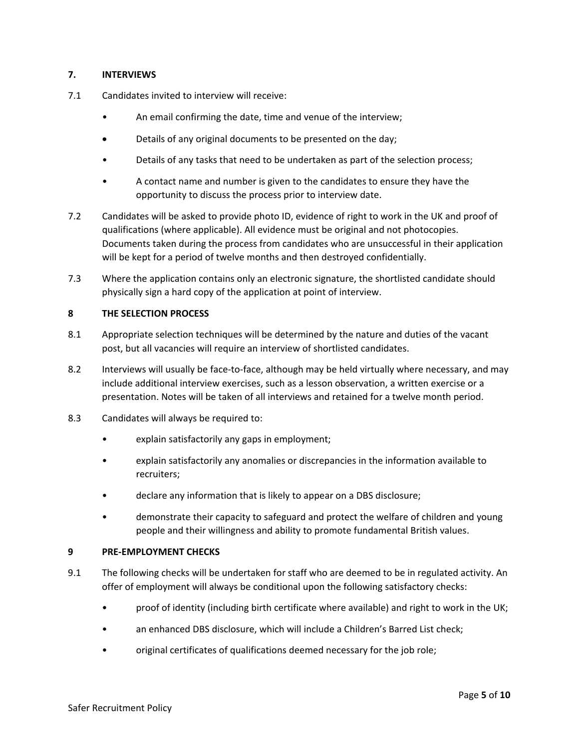# **7. INTERVIEWS**

- 7.1 Candidates invited to interview will receive:
	- An email confirming the date, time and venue of the interview;
	- Details of any original documents to be presented on the day;
	- Details of any tasks that need to be undertaken as part of the selection process;
	- A contact name and number is given to the candidates to ensure they have the opportunity to discuss the process prior to interview date.
- 7.2 Candidates will be asked to provide photo ID, evidence of right to work in the UK and proof of qualifications (where applicable). All evidence must be original and not photocopies. Documents taken during the process from candidates who are unsuccessful in their application will be kept for a period of twelve months and then destroyed confidentially.
- 7.3 Where the application contains only an electronic signature, the shortlisted candidate should physically sign a hard copy of the application at point of interview.

# **8 THE SELECTION PROCESS**

- 8.1 Appropriate selection techniques will be determined by the nature and duties of the vacant post, but all vacancies will require an interview of shortlisted candidates.
- 8.2 Interviews will usually be face-to-face, although may be held virtually where necessary, and may include additional interview exercises, such as a lesson observation, a written exercise or a presentation. Notes will be taken of all interviews and retained for a twelve month period.
- 8.3 Candidates will always be required to:
	- explain satisfactorily any gaps in employment;
	- explain satisfactorily any anomalies or discrepancies in the information available to recruiters;
	- declare any information that is likely to appear on a DBS disclosure;
	- demonstrate their capacity to safeguard and protect the welfare of children and young people and their willingness and ability to promote fundamental British values.

#### **9 PRE-EMPLOYMENT CHECKS**

- 9.1 The following checks will be undertaken for staff who are deemed to be in regulated activity. An offer of employment will always be conditional upon the following satisfactory checks:
	- proof of identity (including birth certificate where available) and right to work in the UK;
	- an enhanced DBS disclosure, which will include a Children's Barred List check;
	- original certificates of qualifications deemed necessary for the job role;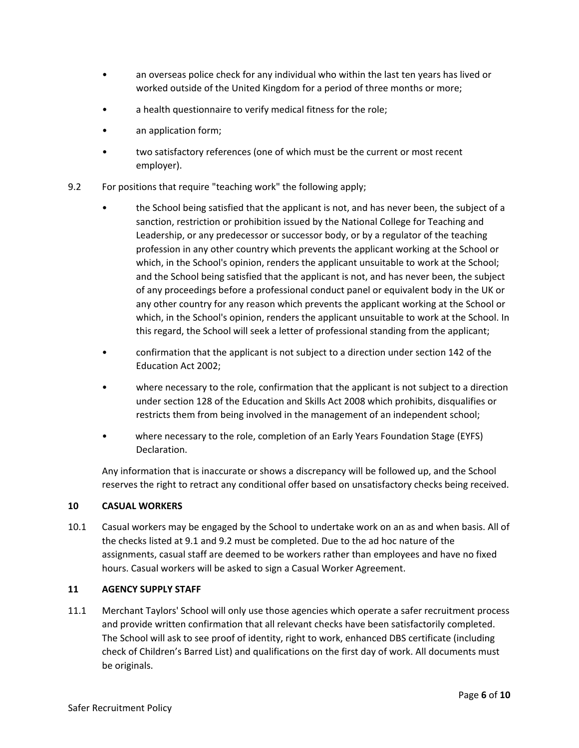- an overseas police check for any individual who within the last ten years has lived or worked outside of the United Kingdom for a period of three months or more;
- a health questionnaire to verify medical fitness for the role;
- an application form;
- two satisfactory references (one of which must be the current or most recent employer).
- 9.2 For positions that require "teaching work" the following apply;
	- the School being satisfied that the applicant is not, and has never been, the subject of a sanction, restriction or prohibition issued by the National College for Teaching and Leadership, or any predecessor or successor body, or by a regulator of the teaching profession in any other country which prevents the applicant working at the School or which, in the School's opinion, renders the applicant unsuitable to work at the School; and the School being satisfied that the applicant is not, and has never been, the subject of any proceedings before a professional conduct panel or equivalent body in the UK or any other country for any reason which prevents the applicant working at the School or which, in the School's opinion, renders the applicant unsuitable to work at the School. In this regard, the School will seek a letter of professional standing from the applicant;
	- confirmation that the applicant is not subject to a direction under section 142 of the Education Act 2002;
	- where necessary to the role, confirmation that the applicant is not subject to a direction under section 128 of the Education and Skills Act 2008 which prohibits, disqualifies or restricts them from being involved in the management of an independent school;
	- where necessary to the role, completion of an Early Years Foundation Stage (EYFS) Declaration.

Any information that is inaccurate or shows a discrepancy will be followed up, and the School reserves the right to retract any conditional offer based on unsatisfactory checks being received.

# **10 CASUAL WORKERS**

10.1 Casual workers may be engaged by the School to undertake work on an as and when basis. All of the checks listed at 9.1 and 9.2 must be completed. Due to the ad hoc nature of the assignments, casual staff are deemed to be workers rather than employees and have no fixed hours. Casual workers will be asked to sign a Casual Worker Agreement.

# **11 AGENCY SUPPLY STAFF**

11.1 Merchant Taylors' School will only use those agencies which operate a safer recruitment process and provide written confirmation that all relevant checks have been satisfactorily completed. The School will ask to see proof of identity, right to work, enhanced DBS certificate (including check of Children's Barred List) and qualifications on the first day of work. All documents must be originals.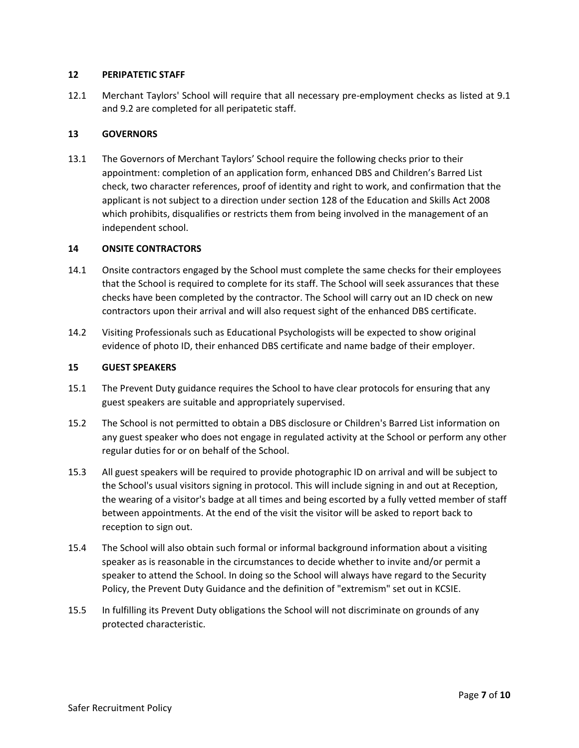#### **12 PERIPATETIC STAFF**

12.1 Merchant Taylors' School will require that all necessary pre-employment checks as listed at 9.1 and 9.2 are completed for all peripatetic staff.

# **13 GOVERNORS**

13.1 The Governors of Merchant Taylors' School require the following checks prior to their appointment: completion of an application form, enhanced DBS and Children's Barred List check, two character references, proof of identity and right to work, and confirmation that the applicant is not subject to a direction under section 128 of the Education and Skills Act 2008 which prohibits, disqualifies or restricts them from being involved in the management of an independent school.

#### **14 ONSITE CONTRACTORS**

- 14.1 Onsite contractors engaged by the School must complete the same checks for their employees that the School is required to complete for its staff. The School will seek assurances that these checks have been completed by the contractor. The School will carry out an ID check on new contractors upon their arrival and will also request sight of the enhanced DBS certificate.
- 14.2 Visiting Professionals such as Educational Psychologists will be expected to show original evidence of photo ID, their enhanced DBS certificate and name badge of their employer.

#### **15 GUEST SPEAKERS**

- 15.1 The Prevent Duty guidance requires the School to have clear protocols for ensuring that any guest speakers are suitable and appropriately supervised.
- 15.2 The School is not permitted to obtain a DBS disclosure or Children's Barred List information on any guest speaker who does not engage in regulated activity at the School or perform any other regular duties for or on behalf of the School.
- 15.3 All guest speakers will be required to provide photographic ID on arrival and will be subject to the School's usual visitors signing in protocol. This will include signing in and out at Reception, the wearing of a visitor's badge at all times and being escorted by a fully vetted member of staff between appointments. At the end of the visit the visitor will be asked to report back to reception to sign out.
- 15.4 The School will also obtain such formal or informal background information about a visiting speaker as is reasonable in the circumstances to decide whether to invite and/or permit a speaker to attend the School. In doing so the School will always have regard to the Security Policy, the Prevent Duty Guidance and the definition of "extremism" set out in KCSIE.
- 15.5 In fulfilling its Prevent Duty obligations the School will not discriminate on grounds of any protected characteristic.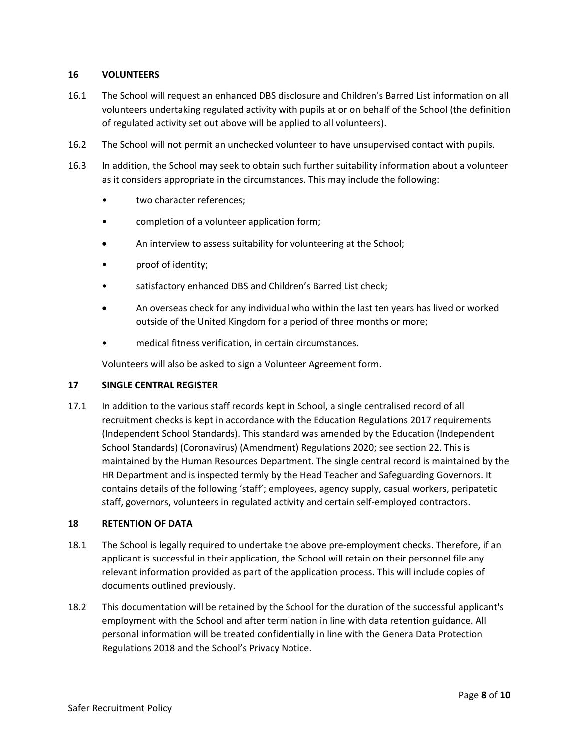# **16 VOLUNTEERS**

- 16.1 The School will request an enhanced DBS disclosure and Children's Barred List information on all volunteers undertaking regulated activity with pupils at or on behalf of the School (the definition of regulated activity set out above will be applied to all volunteers).
- 16.2 The School will not permit an unchecked volunteer to have unsupervised contact with pupils.
- 16.3 In addition, the School may seek to obtain such further suitability information about a volunteer as it considers appropriate in the circumstances. This may include the following:
	- two character references;
	- completion of a volunteer application form;
	- An interview to assess suitability for volunteering at the School;
	- proof of identity;
	- satisfactory enhanced DBS and Children's Barred List check;
	- An overseas check for any individual who within the last ten years has lived or worked outside of the United Kingdom for a period of three months or more;
	- medical fitness verification, in certain circumstances.

Volunteers will also be asked to sign a Volunteer Agreement form.

#### **17 SINGLE CENTRAL REGISTER**

17.1 In addition to the various staff records kept in School, a single centralised record of all recruitment checks is kept in accordance with the Education Regulations 2017 requirements (Independent School Standards). This standard was amended by the Education (Independent School Standards) (Coronavirus) (Amendment) Regulations 2020; see section 22. This is maintained by the Human Resources Department. The single central record is maintained by the HR Department and is inspected termly by the Head Teacher and Safeguarding Governors. It contains details of the following 'staff'; employees, agency supply, casual workers, peripatetic staff, governors, volunteers in regulated activity and certain self-employed contractors.

#### **18 RETENTION OF DATA**

- 18.1 The School is legally required to undertake the above pre-employment checks. Therefore, if an applicant is successful in their application, the School will retain on their personnel file any relevant information provided as part of the application process. This will include copies of documents outlined previously.
- 18.2 This documentation will be retained by the School for the duration of the successful applicant's employment with the School and after termination in line with data retention guidance. All personal information will be treated confidentially in line with the Genera Data Protection Regulations 2018 and the School's Privacy Notice.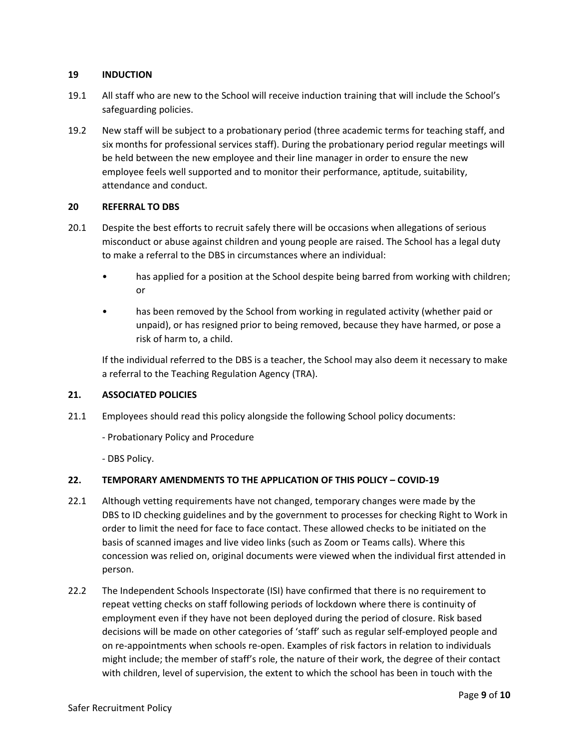# **19 INDUCTION**

- 19.1 All staff who are new to the School will receive induction training that will include the School's safeguarding policies.
- 19.2 New staff will be subject to a probationary period (three academic terms for teaching staff, and six months for professional services staff). During the probationary period regular meetings will be held between the new employee and their line manager in order to ensure the new employee feels well supported and to monitor their performance, aptitude, suitability, attendance and conduct.

#### **20 REFERRAL TO DBS**

- 20.1 Despite the best efforts to recruit safely there will be occasions when allegations of serious misconduct or abuse against children and young people are raised. The School has a legal duty to make a referral to the DBS in circumstances where an individual:
	- has applied for a position at the School despite being barred from working with children; or
	- has been removed by the School from working in regulated activity (whether paid or unpaid), or has resigned prior to being removed, because they have harmed, or pose a risk of harm to, a child.

If the individual referred to the DBS is a teacher, the School may also deem it necessary to make a referral to the Teaching Regulation Agency (TRA).

# **21. ASSOCIATED POLICIES**

- 21.1 Employees should read this policy alongside the following School policy documents:
	- Probationary Policy and Procedure
	- DBS Policy.

# **22. TEMPORARY AMENDMENTS TO THE APPLICATION OF THIS POLICY – COVID-19**

- 22.1 Although vetting requirements have not changed, temporary changes were made by the DBS to ID checking guidelines and by the government to processes for checking Right to Work in order to limit the need for face to face contact. These allowed checks to be initiated on the basis of scanned images and live video links (such as Zoom or Teams calls). Where this concession was relied on, original documents were viewed when the individual first attended in person.
- 22.2 The Independent Schools Inspectorate (ISI) have confirmed that there is no requirement to repeat vetting checks on staff following periods of lockdown where there is continuity of employment even if they have not been deployed during the period of closure. Risk based decisions will be made on other categories of 'staff' such as regular self-employed people and on re-appointments when schools re-open. Examples of risk factors in relation to individuals might include; the member of staff's role, the nature of their work, the degree of their contact with children, level of supervision, the extent to which the school has been in touch with the